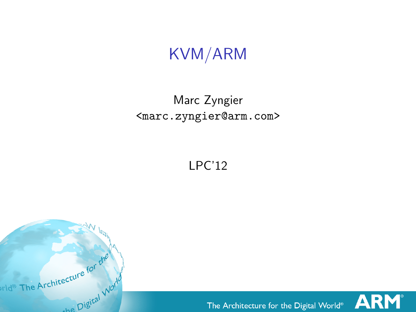KVM/ARM

#### Marc Zyngier <marc.zyngier@arm.com>

LPC'12



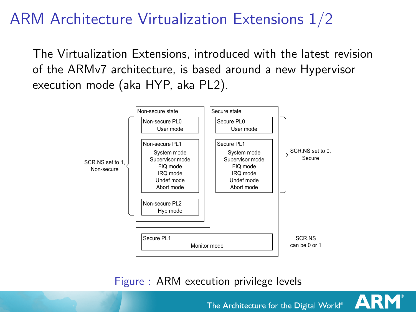#### ARM Architecture Virtualization Extensions 1/2 • if a processor is in User mode and Non-secure state, it is in *Non-secure User mode*.

The Virtualization Extensions, introduced with the latest revision of the ARMv7 architecture, is based around a new Hypervisor execution mode (aka HYP, aka PL2).



Figure : ARM execution privilege levels

**Hyp mode**

The Architecture for the Digital World<sup>®</sup> method of controlling almost all of the functionality of the Virtualization Extensions.

**ARM**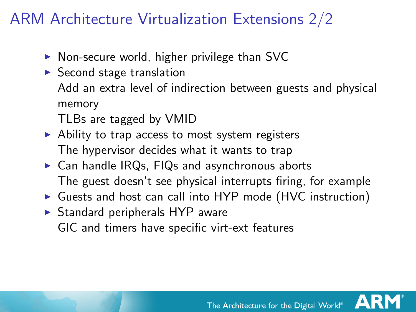#### ARM Architecture Virtualization Extensions 2/2

- $\triangleright$  Non-secure world, higher privilege than SVC
- $\triangleright$  Second stage translation Add an extra level of indirection between guests and physical memory

TLBs are tagged by VMID

- $\triangleright$  Ability to trap access to most system registers The hypervisor decides what it wants to trap
- $\triangleright$  Can handle IRQs, FIQs and asynchronous aborts The guest doesn't see physical interrupts firing, for example
- ▶ Guests and host can call into HYP mode (HVC instruction)
- $\triangleright$  Standard peripherals HYP aware GIC and timers have specific virt-ext features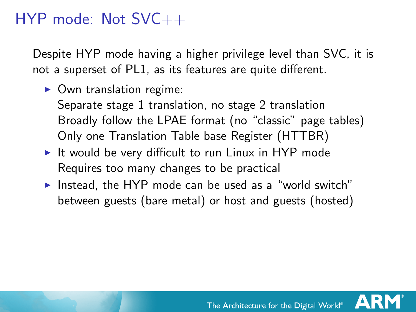#### HYP mode: Not SVC++

Despite HYP mode having a higher privilege level than SVC, it is not a superset of PL1, as its features are quite different.

 $\triangleright$  Own translation regime:

Separate stage 1 translation, no stage 2 translation Broadly follow the LPAE format (no "classic" page tables) Only one Translation Table base Register (HTTBR)

- It would be very difficult to run Linux in HYP mode Requires too many changes to be practical
- Instead, the HYP mode can be used as a "world switch" between guests (bare metal) or host and guests (hosted)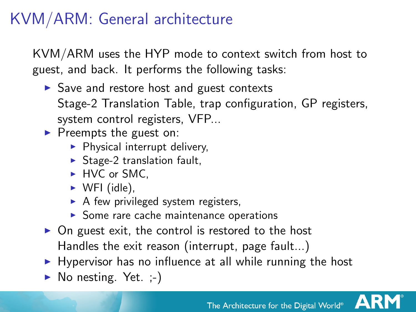### KVM/ARM: General architecture

KVM/ARM uses the HYP mode to context switch from host to guest, and back. It performs the following tasks:

- $\triangleright$  Save and restore host and guest contexts Stage-2 Translation Table, trap configuration, GP registers, system control registers, VFP...
- $\blacktriangleright$  Preempts the guest on:
	- $\blacktriangleright$  Physical interrupt delivery,
	- $\triangleright$  Stage-2 translation fault,
	- ► HVC or SMC.
	- $\triangleright$  WFI (idle),
	- $\triangleright$  A few privileged system registers,
	- $\triangleright$  Some rare cache maintenance operations
- $\triangleright$  On guest exit, the control is restored to the host Handles the exit reason (interrupt, page fault...)
- $\blacktriangleright$  Hypervisor has no influence at all while running the host
- $\triangleright$  No nesting. Yet.  $\cdot$ .

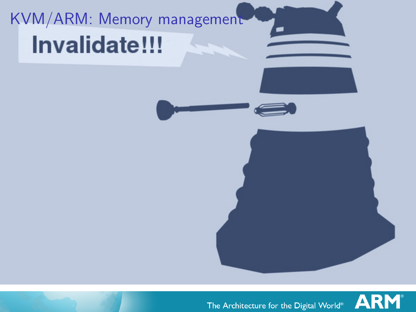# KVM/ARM: Memory management **Invalidate!!!**



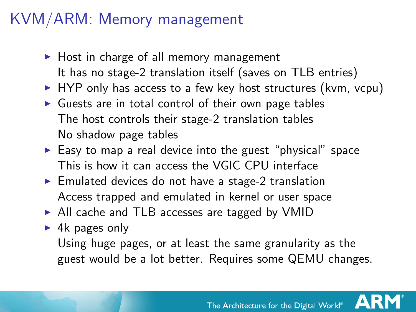#### KVM/ARM: Memory management

- $\blacktriangleright$  Host in charge of all memory management It has no stage-2 translation itself (saves on TLB entries)
- $\triangleright$  HYP only has access to a few key host structures (kvm, vcpu)
- $\triangleright$  Guests are in total control of their own page tables The host controls their stage-2 translation tables No shadow page tables
- $\blacktriangleright$  Easy to map a real device into the guest "physical" space This is how it can access the VGIC CPU interface
- $\blacktriangleright$  Emulated devices do not have a stage-2 translation Access trapped and emulated in kernel or user space
- $\triangleright$  All cache and TLB accesses are tagged by VMID
- $\blacktriangleright$  4k pages only Using huge pages, or at least the same granularity as the guest would be a lot better. Requires some QEMU changes.

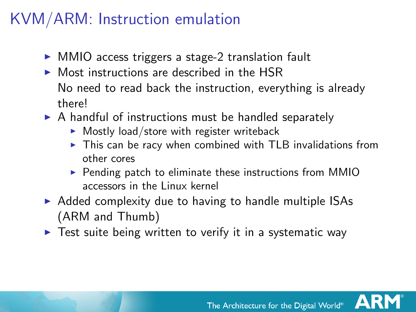#### KVM/ARM: Instruction emulation

- ► MMIO access triggers a stage-2 translation fault
- $\triangleright$  Most instructions are described in the HSR No need to read back the instruction, everything is already there!
- $\triangleright$  A handful of instructions must be handled separately
	- $\triangleright$  Mostly load/store with register writeback
	- $\triangleright$  This can be racy when combined with TLB invalidations from other cores
	- $\triangleright$  Pending patch to eliminate these instructions from MMIO accessors in the Linux kernel
- $\triangleright$  Added complexity due to having to handle multiple ISAs (ARM and Thumb)
- $\triangleright$  Test suite being written to verify it in a systematic way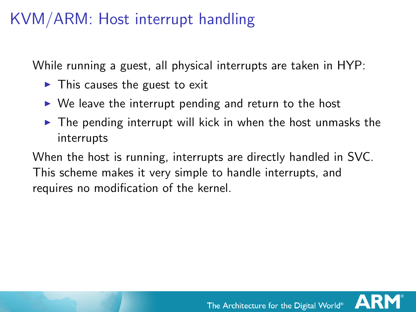#### KVM/ARM: Host interrupt handling

While running a guest, all physical interrupts are taken in HYP:

- $\blacktriangleright$  This causes the guest to exit
- $\triangleright$  We leave the interrupt pending and return to the host
- $\triangleright$  The pending interrupt will kick in when the host unmasks the interrupts

When the host is running, interrupts are directly handled in SVC. This scheme makes it very simple to handle interrupts, and requires no modification of the kernel.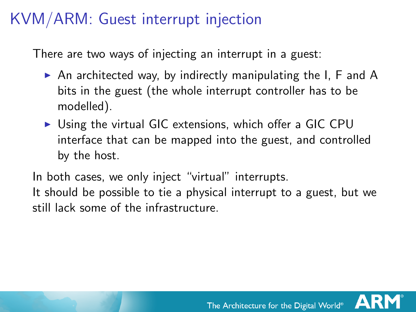#### KVM/ARM: Guest interrupt injection

There are two ways of injecting an interrupt in a guest:

- $\triangleright$  An architected way, by indirectly manipulating the I, F and A bits in the guest (the whole interrupt controller has to be modelled).
- $\triangleright$  Using the virtual GIC extensions, which offer a GIC CPU interface that can be mapped into the guest, and controlled by the host.

In both cases, we only inject "virtual" interrupts. It should be possible to tie a physical interrupt to a guest, but we still lack some of the infrastructure.

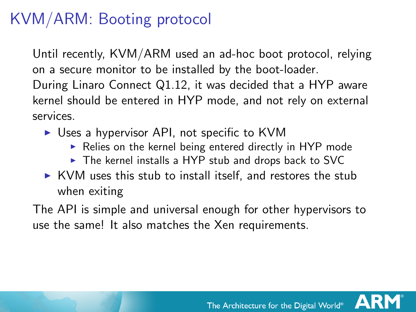### KVM/ARM: Booting protocol

Until recently, KVM/ARM used an ad-hoc boot protocol, relying on a secure monitor to be installed by the boot-loader.

During Linaro Connect Q1.12, it was decided that a HYP aware kernel should be entered in HYP mode, and not rely on external services.

- $\triangleright$  Uses a hypervisor API, not specific to KVM
	- $\triangleright$  Relies on the kernel being entered directly in HYP mode
	- $\triangleright$  The kernel installs a HYP stub and drops back to SVC
- $\triangleright$  KVM uses this stub to install itself, and restores the stub when exiting

The API is simple and universal enough for other hypervisors to use the same! It also matches the Xen requirements.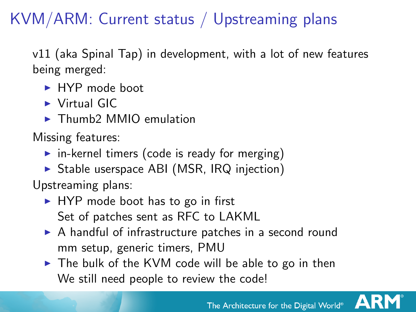## KVM/ARM: Current status / Upstreaming plans

v11 (aka Spinal Tap) in development, with a lot of new features being merged:

- $\blacktriangleright$  HYP mode boot
- $\blacktriangleright$  Virtual GIC
- $\blacktriangleright$  Thumb2 MMIO emulation

Missing features:

- $\triangleright$  in-kernel timers (code is ready for merging)
- $\triangleright$  Stable userspace ABI (MSR, IRQ injection)

Upstreaming plans:

- $\blacktriangleright$  HYP mode boot has to go in first Set of patches sent as RFC to LAKML
- $\triangleright$  A handful of infrastructure patches in a second round mm setup, generic timers, PMU
- $\triangleright$  The bulk of the KVM code will be able to go in then We still need people to review the code!